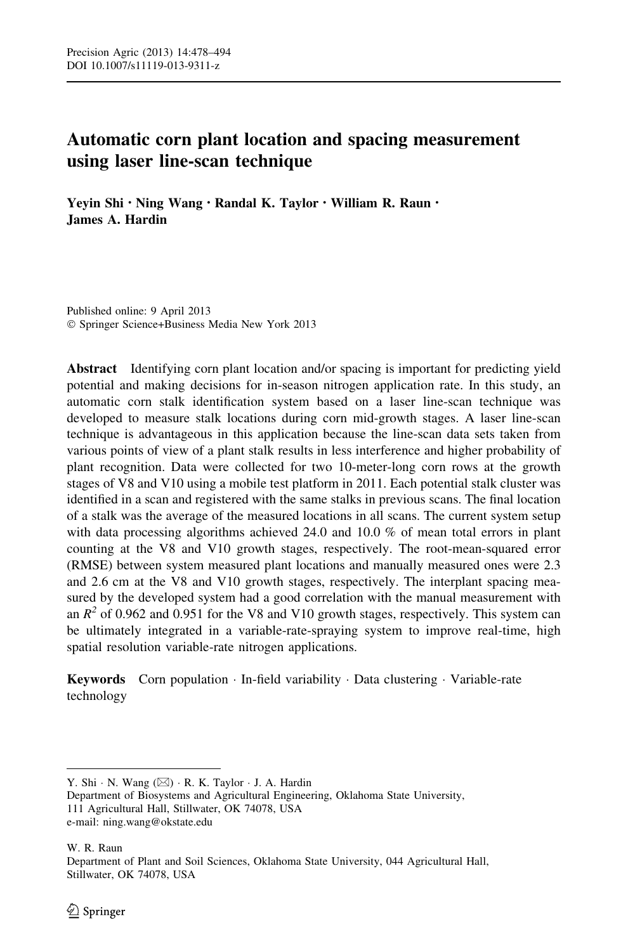# Automatic corn plant location and spacing measurement using laser line-scan technique

Yeyin Shi • Ning Wang • Randal K. Taylor • William R. Raun • James A. Hardin

Published online: 9 April 2013 - Springer Science+Business Media New York 2013

Abstract Identifying corn plant location and/or spacing is important for predicting yield potential and making decisions for in-season nitrogen application rate. In this study, an automatic corn stalk identification system based on a laser line-scan technique was developed to measure stalk locations during corn mid-growth stages. A laser line-scan technique is advantageous in this application because the line-scan data sets taken from various points of view of a plant stalk results in less interference and higher probability of plant recognition. Data were collected for two 10-meter-long corn rows at the growth stages of V8 and V10 using a mobile test platform in 2011. Each potential stalk cluster was identified in a scan and registered with the same stalks in previous scans. The final location of a stalk was the average of the measured locations in all scans. The current system setup with data processing algorithms achieved 24.0 and 10.0 % of mean total errors in plant counting at the V8 and V10 growth stages, respectively. The root-mean-squared error (RMSE) between system measured plant locations and manually measured ones were 2.3 and 2.6 cm at the V8 and V10 growth stages, respectively. The interplant spacing measured by the developed system had a good correlation with the manual measurement with an  $R^2$  of 0.962 and 0.951 for the V8 and V10 growth stages, respectively. This system can be ultimately integrated in a variable-rate-spraying system to improve real-time, high spatial resolution variable-rate nitrogen applications.

Keywords Corn population · In-field variability · Data clustering · Variable-rate technology

W. R. Raun

Y. Shi  $\cdot$  N. Wang ( $\boxtimes$ )  $\cdot$  R. K. Taylor  $\cdot$  J. A. Hardin

Department of Biosystems and Agricultural Engineering, Oklahoma State University, 111 Agricultural Hall, Stillwater, OK 74078, USA

e-mail: ning.wang@okstate.edu

Department of Plant and Soil Sciences, Oklahoma State University, 044 Agricultural Hall, Stillwater, OK 74078, USA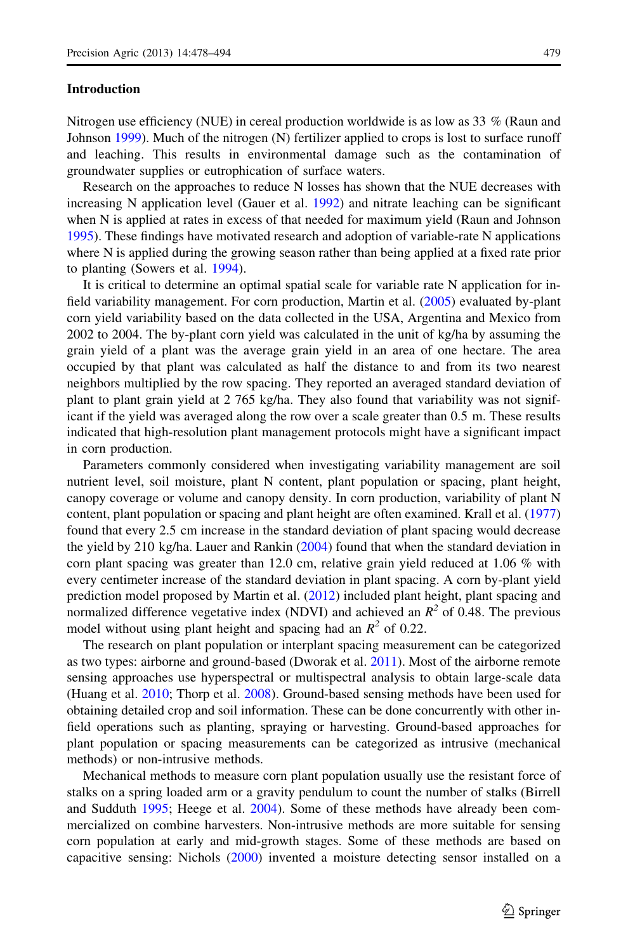#### Introduction

Nitrogen use efficiency (NUE) in cereal production worldwide is as low as 33 % (Raun and Johnson [1999](#page-16-0)). Much of the nitrogen (N) fertilizer applied to crops is lost to surface runoff and leaching. This results in environmental damage such as the contamination of groundwater supplies or eutrophication of surface waters.

Research on the approaches to reduce N losses has shown that the NUE decreases with increasing N application level (Gauer et al. [1992\)](#page-15-0) and nitrate leaching can be significant when N is applied at rates in excess of that needed for maximum yield (Raun and Johnson [1995\)](#page-16-0). These findings have motivated research and adoption of variable-rate N applications where N is applied during the growing season rather than being applied at a fixed rate prior to planting (Sowers et al. [1994](#page-16-0)).

It is critical to determine an optimal spatial scale for variable rate N application for infield variability management. For corn production, Martin et al. ([2005\)](#page-16-0) evaluated by-plant corn yield variability based on the data collected in the USA, Argentina and Mexico from 2002 to 2004. The by-plant corn yield was calculated in the unit of kg/ha by assuming the grain yield of a plant was the average grain yield in an area of one hectare. The area occupied by that plant was calculated as half the distance to and from its two nearest neighbors multiplied by the row spacing. They reported an averaged standard deviation of plant to plant grain yield at 2 765 kg/ha. They also found that variability was not significant if the yield was averaged along the row over a scale greater than 0.5 m. These results indicated that high-resolution plant management protocols might have a significant impact in corn production.

Parameters commonly considered when investigating variability management are soil nutrient level, soil moisture, plant N content, plant population or spacing, plant height, canopy coverage or volume and canopy density. In corn production, variability of plant N content, plant population or spacing and plant height are often examined. Krall et al. ([1977](#page-15-0)) found that every 2.5 cm increase in the standard deviation of plant spacing would decrease the yield by 210 kg/ha. Lauer and Rankin ([2004\)](#page-16-0) found that when the standard deviation in corn plant spacing was greater than 12.0 cm, relative grain yield reduced at 1.06  $\%$  with every centimeter increase of the standard deviation in plant spacing. A corn by-plant yield prediction model proposed by Martin et al. ([2012\)](#page-16-0) included plant height, plant spacing and normalized difference vegetative index (NDVI) and achieved an  $R^2$  of 0.48. The previous model without using plant height and spacing had an  $R^2$  of 0.22.

The research on plant population or interplant spacing measurement can be categorized as two types: airborne and ground-based (Dworak et al. [2011](#page-15-0)). Most of the airborne remote sensing approaches use hyperspectral or multispectral analysis to obtain large-scale data (Huang et al. [2010](#page-15-0); Thorp et al. [2008\)](#page-16-0). Ground-based sensing methods have been used for obtaining detailed crop and soil information. These can be done concurrently with other infield operations such as planting, spraying or harvesting. Ground-based approaches for plant population or spacing measurements can be categorized as intrusive (mechanical methods) or non-intrusive methods.

Mechanical methods to measure corn plant population usually use the resistant force of stalks on a spring loaded arm or a gravity pendulum to count the number of stalks (Birrell and Sudduth [1995](#page-15-0); Heege et al. [2004](#page-15-0)). Some of these methods have already been commercialized on combine harvesters. Non-intrusive methods are more suitable for sensing corn population at early and mid-growth stages. Some of these methods are based on capacitive sensing: Nichols ([2000\)](#page-16-0) invented a moisture detecting sensor installed on a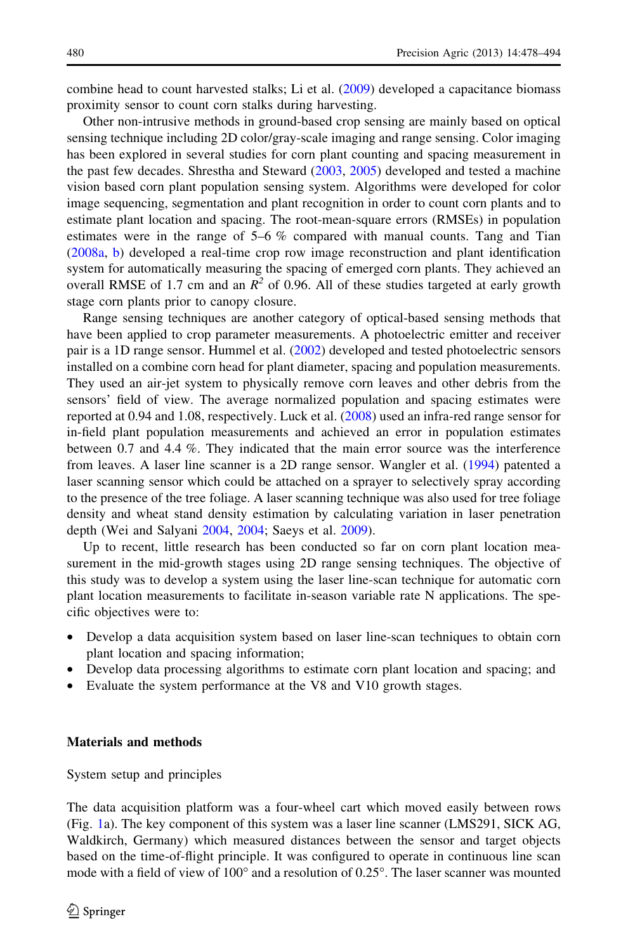combine head to count harvested stalks; Li et al. [\(2009](#page-16-0)) developed a capacitance biomass proximity sensor to count corn stalks during harvesting.

Other non-intrusive methods in ground-based crop sensing are mainly based on optical sensing technique including 2D color/gray-scale imaging and range sensing. Color imaging has been explored in several studies for corn plant counting and spacing measurement in the past few decades. Shrestha and Steward ([2003,](#page-16-0) [2005\)](#page-16-0) developed and tested a machine vision based corn plant population sensing system. Algorithms were developed for color image sequencing, segmentation and plant recognition in order to count corn plants and to estimate plant location and spacing. The root-mean-square errors (RMSEs) in population estimates were in the range of  $5-6\%$  compared with manual counts. Tang and Tian ([2008a](#page-16-0), [b\)](#page-16-0) developed a real-time crop row image reconstruction and plant identification system for automatically measuring the spacing of emerged corn plants. They achieved an overall RMSE of 1.7 cm and an  $R^2$  of 0.96. All of these studies targeted at early growth stage corn plants prior to canopy closure.

Range sensing techniques are another category of optical-based sensing methods that have been applied to crop parameter measurements. A photoelectric emitter and receiver pair is a 1D range sensor. Hummel et al. ([2002\)](#page-15-0) developed and tested photoelectric sensors installed on a combine corn head for plant diameter, spacing and population measurements. They used an air-jet system to physically remove corn leaves and other debris from the sensors' field of view. The average normalized population and spacing estimates were reported at 0.94 and 1.08, respectively. Luck et al. [\(2008](#page-16-0)) used an infra-red range sensor for in-field plant population measurements and achieved an error in population estimates between 0.7 and 4.4 %. They indicated that the main error source was the interference from leaves. A laser line scanner is a 2D range sensor. Wangler et al. [\(1994](#page-16-0)) patented a laser scanning sensor which could be attached on a sprayer to selectively spray according to the presence of the tree foliage. A laser scanning technique was also used for tree foliage density and wheat stand density estimation by calculating variation in laser penetration depth (Wei and Salyani [2004,](#page-16-0) [2004](#page-16-0); Saeys et al. [2009](#page-16-0)).

Up to recent, little research has been conducted so far on corn plant location measurement in the mid-growth stages using 2D range sensing techniques. The objective of this study was to develop a system using the laser line-scan technique for automatic corn plant location measurements to facilitate in-season variable rate N applications. The specific objectives were to:

- Develop a data acquisition system based on laser line-scan techniques to obtain corn plant location and spacing information;
- Develop data processing algorithms to estimate corn plant location and spacing; and
- Evaluate the system performance at the V8 and V10 growth stages.

# Materials and methods

System setup and principles

The data acquisition platform was a four-wheel cart which moved easily between rows (Fig. [1a](#page-3-0)). The key component of this system was a laser line scanner (LMS291, SICK AG, Waldkirch, Germany) which measured distances between the sensor and target objects based on the time-of-flight principle. It was configured to operate in continuous line scan mode with a field of view of  $100^{\circ}$  and a resolution of  $0.25^{\circ}$ . The laser scanner was mounted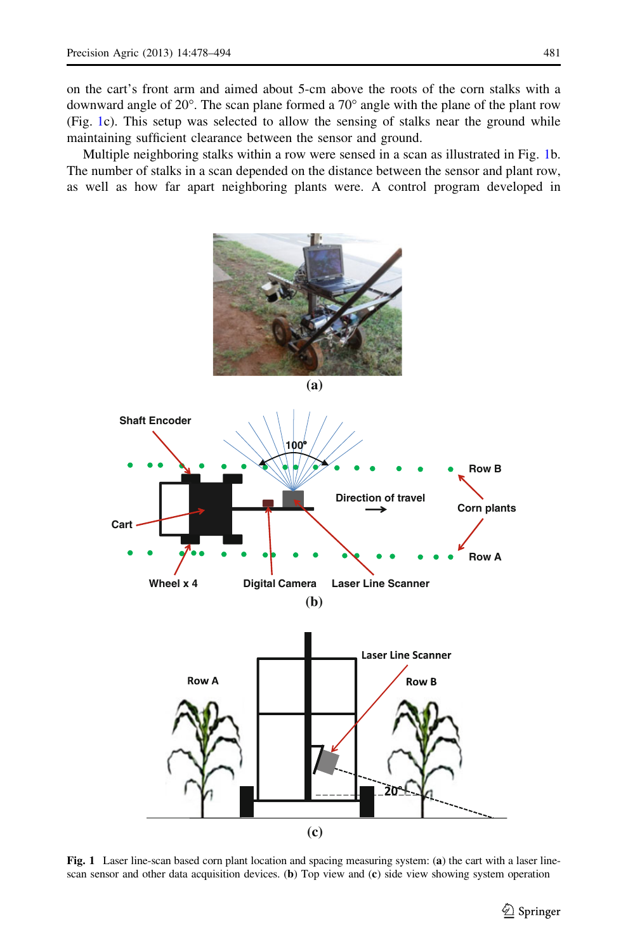<span id="page-3-0"></span>on the cart's front arm and aimed about 5-cm above the roots of the corn stalks with a downward angle of  $20^{\circ}$ . The scan plane formed a  $70^{\circ}$  angle with the plane of the plant row (Fig. 1c). This setup was selected to allow the sensing of stalks near the ground while maintaining sufficient clearance between the sensor and ground.

Multiple neighboring stalks within a row were sensed in a scan as illustrated in Fig. 1b. The number of stalks in a scan depended on the distance between the sensor and plant row, as well as how far apart neighboring plants were. A control program developed in



Fig. 1 Laser line-scan based corn plant location and spacing measuring system: (a) the cart with a laser linescan sensor and other data acquisition devices. (b) Top view and (c) side view showing system operation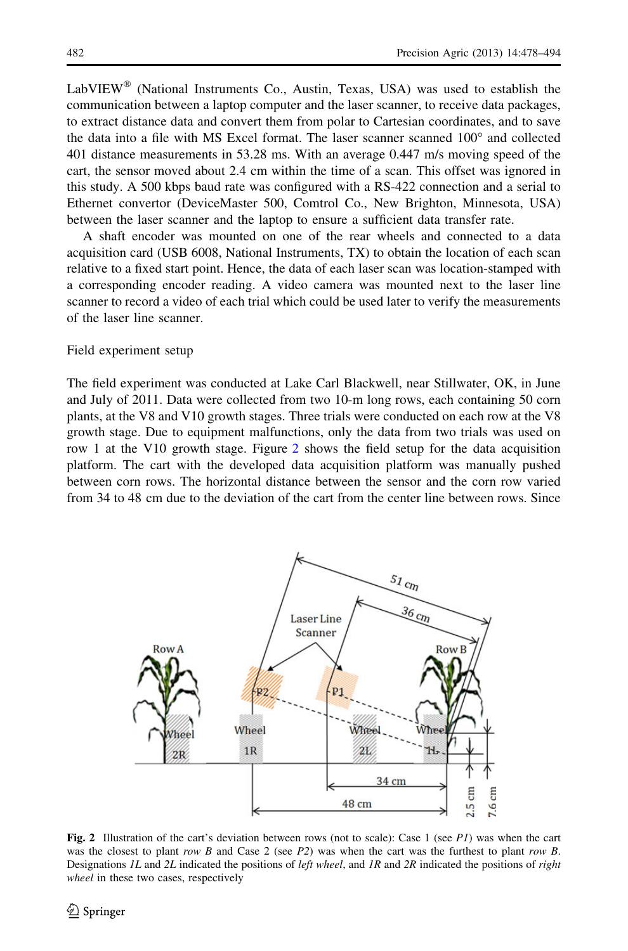LabVIEW® (National Instruments Co., Austin, Texas, USA) was used to establish the communication between a laptop computer and the laser scanner, to receive data packages, to extract distance data and convert them from polar to Cartesian coordinates, and to save the data into a file with MS Excel format. The laser scanner scanned  $100^{\circ}$  and collected 401 distance measurements in 53.28 ms. With an average 0.447 m/s moving speed of the cart, the sensor moved about 2.4 cm within the time of a scan. This offset was ignored in this study. A 500 kbps baud rate was configured with a RS-422 connection and a serial to Ethernet convertor (DeviceMaster 500, Comtrol Co., New Brighton, Minnesota, USA) between the laser scanner and the laptop to ensure a sufficient data transfer rate.

A shaft encoder was mounted on one of the rear wheels and connected to a data acquisition card (USB 6008, National Instruments, TX) to obtain the location of each scan relative to a fixed start point. Hence, the data of each laser scan was location-stamped with a corresponding encoder reading. A video camera was mounted next to the laser line scanner to record a video of each trial which could be used later to verify the measurements of the laser line scanner.

#### Field experiment setup

The field experiment was conducted at Lake Carl Blackwell, near Stillwater, OK, in June and July of 2011. Data were collected from two 10-m long rows, each containing 50 corn plants, at the V8 and V10 growth stages. Three trials were conducted on each row at the V8 growth stage. Due to equipment malfunctions, only the data from two trials was used on row 1 at the V10 growth stage. Figure 2 shows the field setup for the data acquisition platform. The cart with the developed data acquisition platform was manually pushed between corn rows. The horizontal distance between the sensor and the corn row varied from 34 to 48 cm due to the deviation of the cart from the center line between rows. Since



Fig. 2 Illustration of the cart's deviation between rows (not to scale): Case 1 (see P1) was when the cart was the closest to plant row B and Case 2 (see P2) was when the cart was the furthest to plant row B. Designations IL and 2L indicated the positions of *left wheel*, and IR and 2R indicated the positions of *right* wheel in these two cases, respectively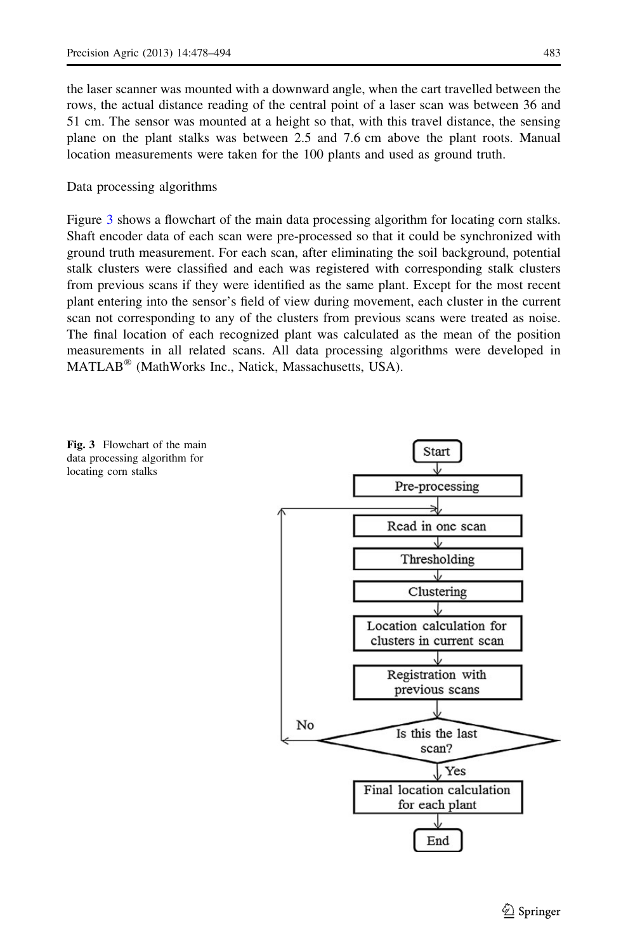the laser scanner was mounted with a downward angle, when the cart travelled between the rows, the actual distance reading of the central point of a laser scan was between 36 and 51 cm. The sensor was mounted at a height so that, with this travel distance, the sensing plane on the plant stalks was between 2.5 and 7.6 cm above the plant roots. Manual location measurements were taken for the 100 plants and used as ground truth.

# Data processing algorithms

Figure 3 shows a flowchart of the main data processing algorithm for locating corn stalks. Shaft encoder data of each scan were pre-processed so that it could be synchronized with ground truth measurement. For each scan, after eliminating the soil background, potential stalk clusters were classified and each was registered with corresponding stalk clusters from previous scans if they were identified as the same plant. Except for the most recent plant entering into the sensor's field of view during movement, each cluster in the current scan not corresponding to any of the clusters from previous scans were treated as noise. The final location of each recognized plant was calculated as the mean of the position measurements in all related scans. All data processing algorithms were developed in MATLAB<sup>®</sup> (MathWorks Inc., Natick, Massachusetts, USA).

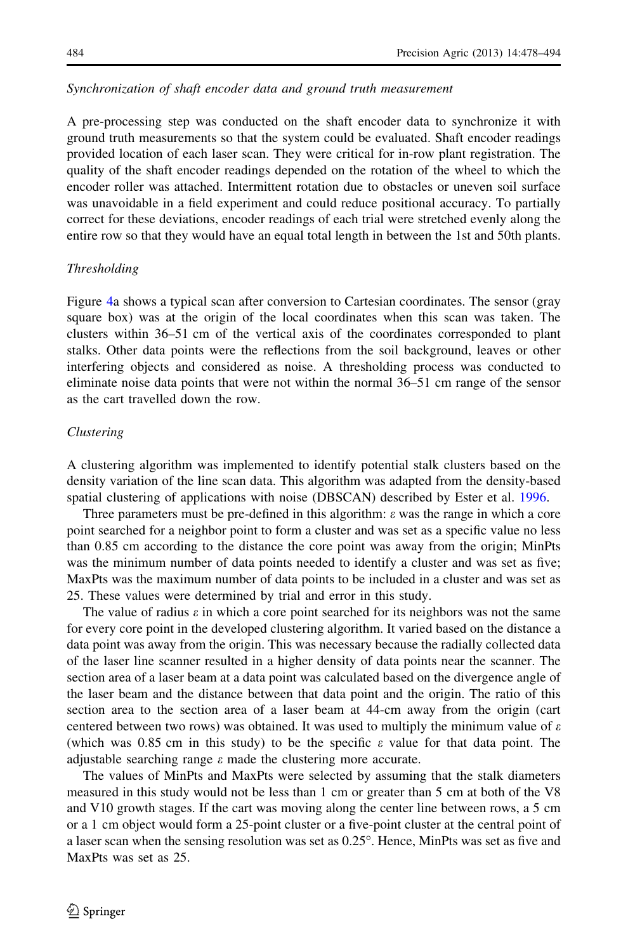#### Synchronization of shaft encoder data and ground truth measurement

A pre-processing step was conducted on the shaft encoder data to synchronize it with ground truth measurements so that the system could be evaluated. Shaft encoder readings provided location of each laser scan. They were critical for in-row plant registration. The quality of the shaft encoder readings depended on the rotation of the wheel to which the encoder roller was attached. Intermittent rotation due to obstacles or uneven soil surface was unavoidable in a field experiment and could reduce positional accuracy. To partially correct for these deviations, encoder readings of each trial were stretched evenly along the entire row so that they would have an equal total length in between the 1st and 50th plants.

#### Thresholding

Figure [4](#page-7-0)a shows a typical scan after conversion to Cartesian coordinates. The sensor (gray square box) was at the origin of the local coordinates when this scan was taken. The clusters within 36–51 cm of the vertical axis of the coordinates corresponded to plant stalks. Other data points were the reflections from the soil background, leaves or other interfering objects and considered as noise. A thresholding process was conducted to eliminate noise data points that were not within the normal 36–51 cm range of the sensor as the cart travelled down the row.

#### Clustering

A clustering algorithm was implemented to identify potential stalk clusters based on the density variation of the line scan data. This algorithm was adapted from the density-based spatial clustering of applications with noise (DBSCAN) described by Ester et al. [1996.](#page-15-0)

Three parameters must be pre-defined in this algorithm: e was the range in which a core point searched for a neighbor point to form a cluster and was set as a specific value no less than 0.85 cm according to the distance the core point was away from the origin; MinPts was the minimum number of data points needed to identify a cluster and was set as five; MaxPts was the maximum number of data points to be included in a cluster and was set as 25. These values were determined by trial and error in this study.

The value of radius  $\varepsilon$  in which a core point searched for its neighbors was not the same for every core point in the developed clustering algorithm. It varied based on the distance a data point was away from the origin. This was necessary because the radially collected data of the laser line scanner resulted in a higher density of data points near the scanner. The section area of a laser beam at a data point was calculated based on the divergence angle of the laser beam and the distance between that data point and the origin. The ratio of this section area to the section area of a laser beam at 44-cm away from the origin (cart centered between two rows) was obtained. It was used to multiply the minimum value of  $\varepsilon$ (which was 0.85 cm in this study) to be the specific  $\varepsilon$  value for that data point. The adjustable searching range  $\varepsilon$  made the clustering more accurate.

The values of MinPts and MaxPts were selected by assuming that the stalk diameters measured in this study would not be less than 1 cm or greater than 5 cm at both of the V8 and V10 growth stages. If the cart was moving along the center line between rows, a 5 cm or a 1 cm object would form a 25-point cluster or a five-point cluster at the central point of a laser scan when the sensing resolution was set as  $0.25^{\circ}$ . Hence, MinPts was set as five and MaxPts was set as 25.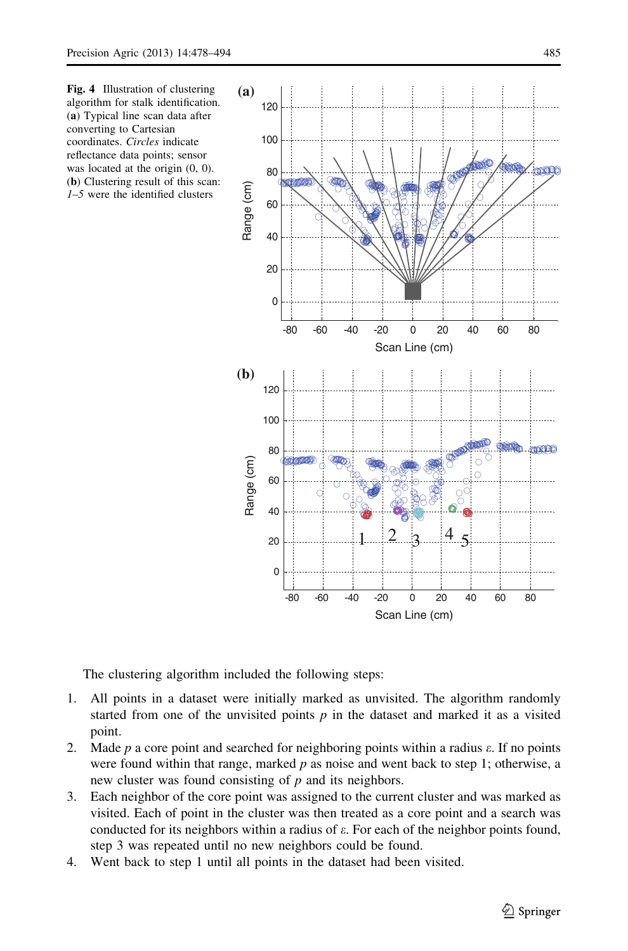<span id="page-7-0"></span>Fig. 4 Illustration of clustering algorithm for stalk identification. (a) Typical line scan data after converting to Cartesian coordinates. Circles indicate reflectance data points; sensor was located at the origin (0, 0). (b) Clustering result of this scan: 1–5 were the identified clusters



The clustering algorithm included the following steps:

- 1. All points in a dataset were initially marked as unvisited. The algorithm randomly started from one of the unvisited points  $p$  in the dataset and marked it as a visited point.
- 2. Made  $p$  a core point and searched for neighboring points within a radius  $\varepsilon$ . If no points were found within that range, marked  $p$  as noise and went back to step 1; otherwise, a new cluster was found consisting of  $p$  and its neighbors.
- 3. Each neighbor of the core point was assigned to the current cluster and was marked as visited. Each of point in the cluster was then treated as a core point and a search was conducted for its neighbors within a radius of e. For each of the neighbor points found, step 3 was repeated until no new neighbors could be found.
- 4. Went back to step 1 until all points in the dataset had been visited.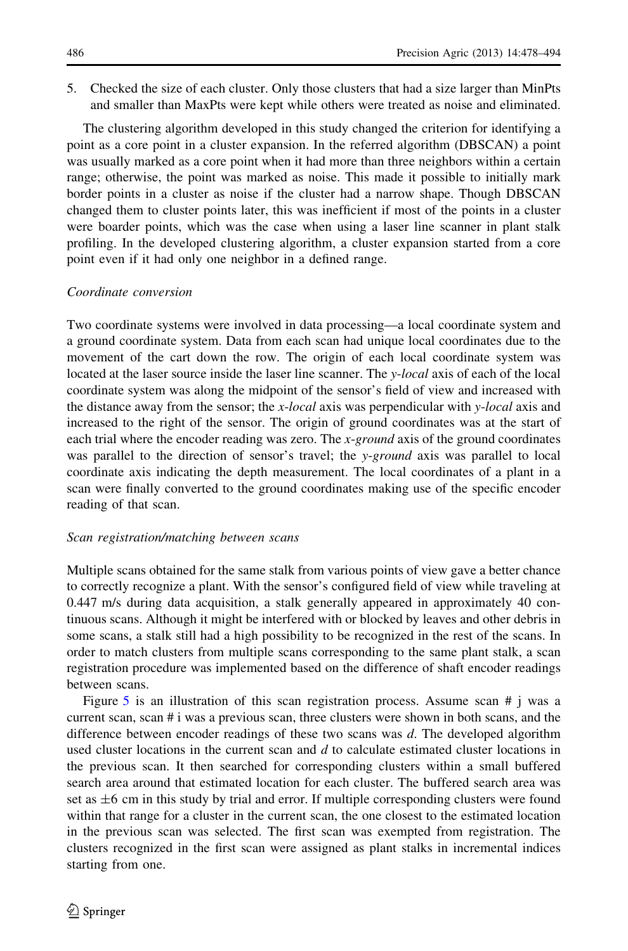5. Checked the size of each cluster. Only those clusters that had a size larger than MinPts and smaller than MaxPts were kept while others were treated as noise and eliminated.

The clustering algorithm developed in this study changed the criterion for identifying a point as a core point in a cluster expansion. In the referred algorithm (DBSCAN) a point was usually marked as a core point when it had more than three neighbors within a certain range; otherwise, the point was marked as noise. This made it possible to initially mark border points in a cluster as noise if the cluster had a narrow shape. Though DBSCAN changed them to cluster points later, this was inefficient if most of the points in a cluster were boarder points, which was the case when using a laser line scanner in plant stalk profiling. In the developed clustering algorithm, a cluster expansion started from a core point even if it had only one neighbor in a defined range.

# Coordinate conversion

Two coordinate systems were involved in data processing—a local coordinate system and a ground coordinate system. Data from each scan had unique local coordinates due to the movement of the cart down the row. The origin of each local coordinate system was located at the laser source inside the laser line scanner. The y-local axis of each of the local coordinate system was along the midpoint of the sensor's field of view and increased with the distance away from the sensor; the x-local axis was perpendicular with y-local axis and increased to the right of the sensor. The origin of ground coordinates was at the start of each trial where the encoder reading was zero. The x-ground axis of the ground coordinates was parallel to the direction of sensor's travel; the y-ground axis was parallel to local coordinate axis indicating the depth measurement. The local coordinates of a plant in a scan were finally converted to the ground coordinates making use of the specific encoder reading of that scan.

#### Scan registration/matching between scans

Multiple scans obtained for the same stalk from various points of view gave a better chance to correctly recognize a plant. With the sensor's configured field of view while traveling at 0.447 m/s during data acquisition, a stalk generally appeared in approximately 40 continuous scans. Although it might be interfered with or blocked by leaves and other debris in some scans, a stalk still had a high possibility to be recognized in the rest of the scans. In order to match clusters from multiple scans corresponding to the same plant stalk, a scan registration procedure was implemented based on the difference of shaft encoder readings between scans.

Figure [5](#page-9-0) is an illustration of this scan registration process. Assume scan  $\#$  j was a current scan, scan  $\#$  i was a previous scan, three clusters were shown in both scans, and the difference between encoder readings of these two scans was d. The developed algorithm used cluster locations in the current scan and  $d$  to calculate estimated cluster locations in the previous scan. It then searched for corresponding clusters within a small buffered search area around that estimated location for each cluster. The buffered search area was set as  $\pm 6$  cm in this study by trial and error. If multiple corresponding clusters were found within that range for a cluster in the current scan, the one closest to the estimated location in the previous scan was selected. The first scan was exempted from registration. The clusters recognized in the first scan were assigned as plant stalks in incremental indices starting from one.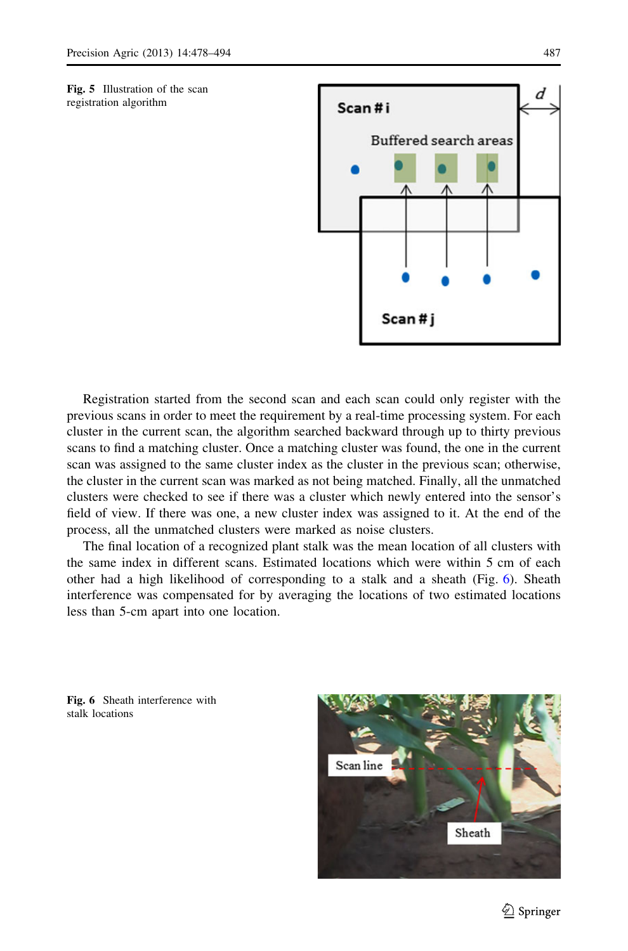<span id="page-9-0"></span>Fig. 5 Illustration of the scan registration algorithm



Registration started from the second scan and each scan could only register with the previous scans in order to meet the requirement by a real-time processing system. For each cluster in the current scan, the algorithm searched backward through up to thirty previous scans to find a matching cluster. Once a matching cluster was found, the one in the current scan was assigned to the same cluster index as the cluster in the previous scan; otherwise, the cluster in the current scan was marked as not being matched. Finally, all the unmatched clusters were checked to see if there was a cluster which newly entered into the sensor's field of view. If there was one, a new cluster index was assigned to it. At the end of the process, all the unmatched clusters were marked as noise clusters.

The final location of a recognized plant stalk was the mean location of all clusters with the same index in different scans. Estimated locations which were within 5 cm of each other had a high likelihood of corresponding to a stalk and a sheath (Fig. 6). Sheath interference was compensated for by averaging the locations of two estimated locations less than 5-cm apart into one location.



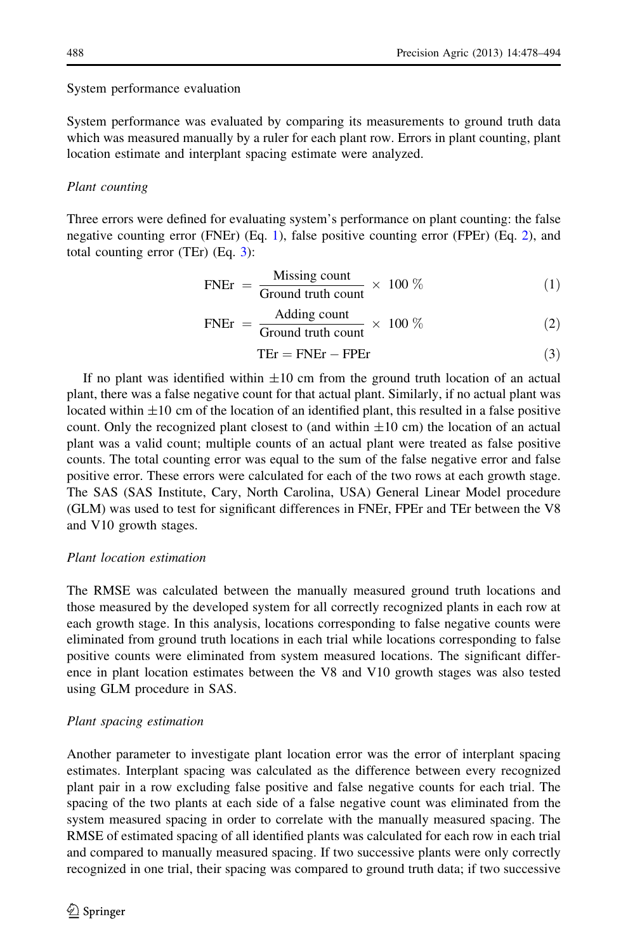#### System performance evaluation

System performance was evaluated by comparing its measurements to ground truth data which was measured manually by a ruler for each plant row. Errors in plant counting, plant location estimate and interplant spacing estimate were analyzed.

## Plant counting

Three errors were defined for evaluating system's performance on plant counting: the false negative counting error (FNEr) (Eq. 1), false positive counting error (FPEr) (Eq. 2), and total counting error (TEr)  $(Eq. 3)$ :

$$
\text{FNET} = \frac{\text{Missing count}}{\text{Ground truth count}} \times 100\,\% \tag{1}
$$

$$
\text{FNEr} = \frac{\text{Adding count}}{\text{Ground truth count}} \times 100\,\% \tag{2}
$$

$$
TEr = FNET - FPET \tag{3}
$$

If no plant was identified within  $\pm 10$  cm from the ground truth location of an actual plant, there was a false negative count for that actual plant. Similarly, if no actual plant was located within  $\pm 10$  cm of the location of an identified plant, this resulted in a false positive count. Only the recognized plant closest to (and within  $\pm 10$  cm) the location of an actual plant was a valid count; multiple counts of an actual plant were treated as false positive counts. The total counting error was equal to the sum of the false negative error and false positive error. These errors were calculated for each of the two rows at each growth stage. The SAS (SAS Institute, Cary, North Carolina, USA) General Linear Model procedure (GLM) was used to test for significant differences in FNEr, FPEr and TEr between the V8 and V10 growth stages.

## Plant location estimation

The RMSE was calculated between the manually measured ground truth locations and those measured by the developed system for all correctly recognized plants in each row at each growth stage. In this analysis, locations corresponding to false negative counts were eliminated from ground truth locations in each trial while locations corresponding to false positive counts were eliminated from system measured locations. The significant difference in plant location estimates between the V8 and V10 growth stages was also tested using GLM procedure in SAS.

#### Plant spacing estimation

Another parameter to investigate plant location error was the error of interplant spacing estimates. Interplant spacing was calculated as the difference between every recognized plant pair in a row excluding false positive and false negative counts for each trial. The spacing of the two plants at each side of a false negative count was eliminated from the system measured spacing in order to correlate with the manually measured spacing. The RMSE of estimated spacing of all identified plants was calculated for each row in each trial and compared to manually measured spacing. If two successive plants were only correctly recognized in one trial, their spacing was compared to ground truth data; if two successive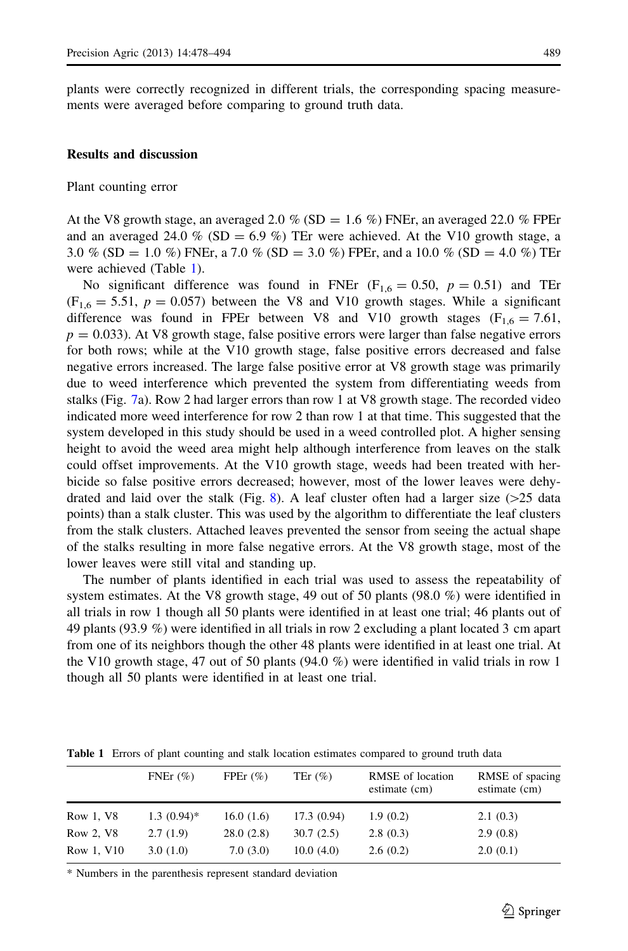plants were correctly recognized in different trials, the corresponding spacing measurements were averaged before comparing to ground truth data.

## Results and discussion

#### Plant counting error

At the V8 growth stage, an averaged 2.0 % (SD = 1.6 %) FNEr, an averaged 22.0 % FPEr and an averaged 24.0 % (SD = 6.9 %) TEr were achieved. At the V10 growth stage, a 3.0 % (SD = 1.0 %) FNEr, a 7.0 % (SD = 3.0 %) FPEr, and a 10.0 % (SD = 4.0 %) TEr were achieved (Table 1).

No significant difference was found in FNEr ( $F_{1,6} = 0.50$ ,  $p = 0.51$ ) and TEr  $(F<sub>1.6</sub> = 5.51, p = 0.057)$  between the V8 and V10 growth stages. While a significant difference was found in FPEr between V8 and V10 growth stages ( $F_{1,6} = 7.61$ ,  $p = 0.033$ ). At V8 growth stage, false positive errors were larger than false negative errors for both rows; while at the V10 growth stage, false positive errors decreased and false negative errors increased. The large false positive error at V8 growth stage was primarily due to weed interference which prevented the system from differentiating weeds from stalks (Fig. [7a](#page-12-0)). Row 2 had larger errors than row 1 at V8 growth stage. The recorded video indicated more weed interference for row 2 than row 1 at that time. This suggested that the system developed in this study should be used in a weed controlled plot. A higher sensing height to avoid the weed area might help although interference from leaves on the stalk could offset improvements. At the V10 growth stage, weeds had been treated with herbicide so false positive errors decreased; however, most of the lower leaves were dehy-drated and laid over the stalk (Fig. [8\)](#page-12-0). A leaf cluster often had a larger size  $(>=25$  data points) than a stalk cluster. This was used by the algorithm to differentiate the leaf clusters from the stalk clusters. Attached leaves prevented the sensor from seeing the actual shape of the stalks resulting in more false negative errors. At the V8 growth stage, most of the lower leaves were still vital and standing up.

The number of plants identified in each trial was used to assess the repeatability of system estimates. At the V8 growth stage, 49 out of 50 plants (98.0 %) were identified in all trials in row 1 though all 50 plants were identified in at least one trial; 46 plants out of 49 plants (93.9 %) were identified in all trials in row 2 excluding a plant located 3 cm apart from one of its neighbors though the other 48 plants were identified in at least one trial. At the V10 growth stage, 47 out of 50 plants  $(94.0\%)$  were identified in valid trials in row 1 though all 50 plants were identified in at least one trial.

|            | FNE $r$ $(\%)$ | FPE $r$ $(\%)$ | TEr $(\% )$ | RMSE of location<br>estimate (cm) | RMSE of spacing<br>estimate (cm) |  |
|------------|----------------|----------------|-------------|-----------------------------------|----------------------------------|--|
| Row 1, V8  | $1.3(0.94)$ *  | 16.0(1.6)      | 17.3 (0.94) | 1.9(0.2)                          | 2.1(0.3)                         |  |
| Row 2, V8  | 2.7(1.9)       | 28.0(2.8)      | 30.7(2.5)   | 2.8(0.3)                          | 2.9(0.8)                         |  |
| Row 1, V10 | 3.0(1.0)       | 7.0(3.0)       | 10.0(4.0)   | 2.6(0.2)                          | 2.0(0.1)                         |  |

Table 1 Errors of plant counting and stalk location estimates compared to ground truth data

\* Numbers in the parenthesis represent standard deviation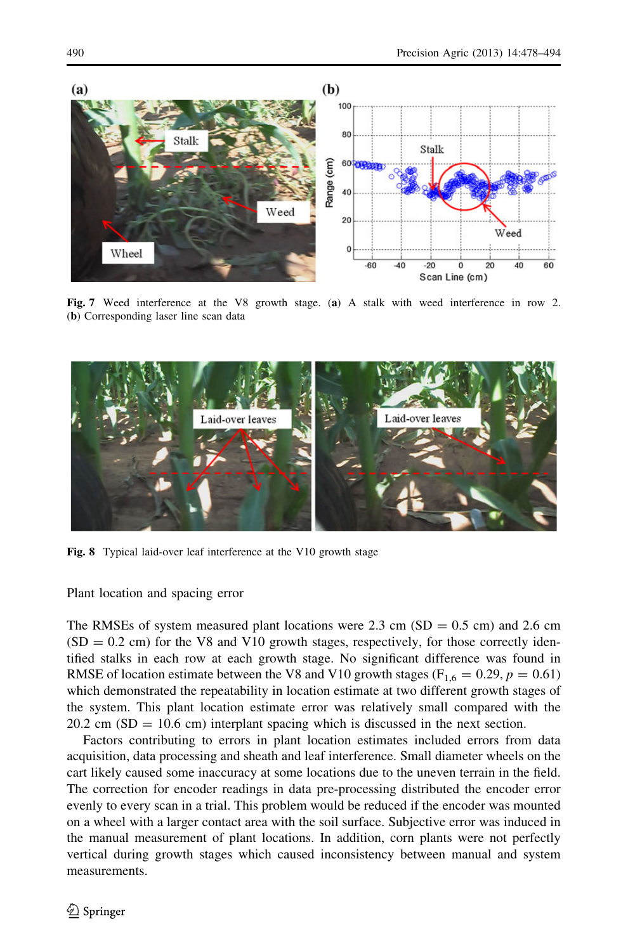<span id="page-12-0"></span>

Fig. 7 Weed interference at the V8 growth stage. (a) A stalk with weed interference in row 2. (b) Corresponding laser line scan data



Fig. 8 Typical laid-over leaf interference at the V10 growth stage

Plant location and spacing error

The RMSEs of system measured plant locations were 2.3 cm (SD =  $0.5$  cm) and 2.6 cm  $(SD = 0.2$  cm) for the V8 and V10 growth stages, respectively, for those correctly identified stalks in each row at each growth stage. No significant difference was found in RMSE of location estimate between the V8 and V10 growth stages ( $F_{1,6} = 0.29, p = 0.61$ ) which demonstrated the repeatability in location estimate at two different growth stages of the system. This plant location estimate error was relatively small compared with the  $20.2$  cm (SD = 10.6 cm) interplant spacing which is discussed in the next section.

Factors contributing to errors in plant location estimates included errors from data acquisition, data processing and sheath and leaf interference. Small diameter wheels on the cart likely caused some inaccuracy at some locations due to the uneven terrain in the field. The correction for encoder readings in data pre-processing distributed the encoder error evenly to every scan in a trial. This problem would be reduced if the encoder was mounted on a wheel with a larger contact area with the soil surface. Subjective error was induced in the manual measurement of plant locations. In addition, corn plants were not perfectly vertical during growth stages which caused inconsistency between manual and system measurements.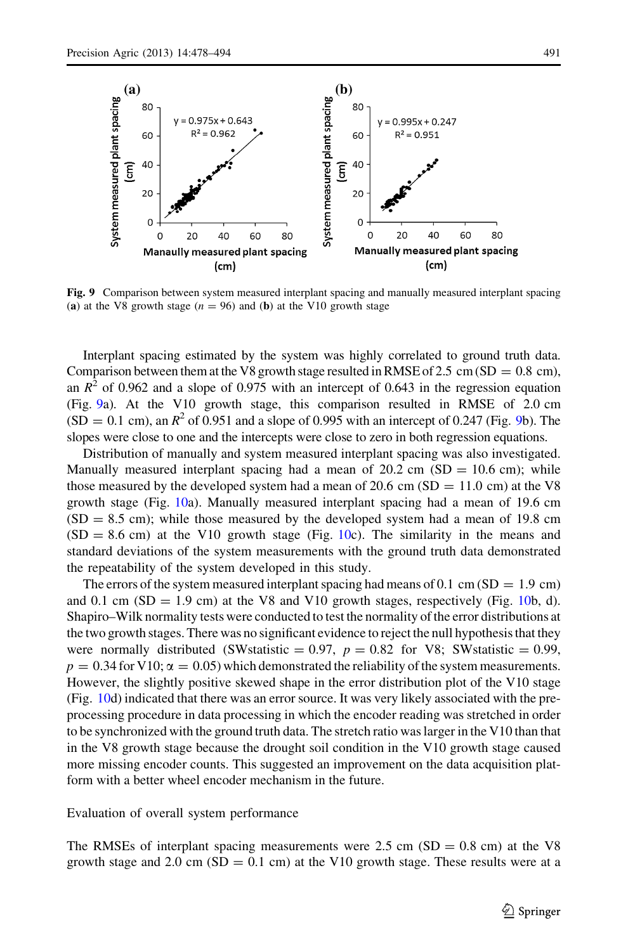

Fig. 9 Comparison between system measured interplant spacing and manually measured interplant spacing (a) at the V8 growth stage  $(n = 96)$  and (b) at the V10 growth stage

Interplant spacing estimated by the system was highly correlated to ground truth data. Comparison between them at the V8 growth stage resulted in RMSE of 2.5 cm (SD =  $0.8$  cm), an  $R<sup>2</sup>$  of 0.962 and a slope of 0.975 with an intercept of 0.643 in the regression equation (Fig. 9a). At the V10 growth stage, this comparison resulted in RMSE of 2.0 cm  $(SD = 0.1 \text{ cm})$ , an  $R^2$  of 0.951 and a slope of 0.995 with an intercept of 0.247 (Fig. 9b). The slopes were close to one and the intercepts were close to zero in both regression equations.

Distribution of manually and system measured interplant spacing was also investigated. Manually measured interplant spacing had a mean of  $20.2$  cm (SD = 10.6 cm); while those measured by the developed system had a mean of  $20.6 \text{ cm (SD} = 11.0 \text{ cm})$  at the V8 growth stage (Fig. [10a](#page-14-0)). Manually measured interplant spacing had a mean of 19.6 cm  $(SD = 8.5 \text{ cm})$ ; while those measured by the developed system had a mean of 19.8 cm  $(SD = 8.6$  cm) at the V10 growth stage (Fig. [10c](#page-14-0)). The similarity in the means and standard deviations of the system measurements with the ground truth data demonstrated the repeatability of the system developed in this study.

The errors of the system measured interplant spacing had means of 0.1 cm ( $SD = 1.9$  cm) and 0.1 cm ( $SD = 1.9$  cm) at the V8 and V10 growth stages, respectively (Fig. [10b](#page-14-0), d). Shapiro–Wilk normality tests were conducted to test the normality of the error distributions at the two growth stages. There was no significant evidence to reject the null hypothesis that they were normally distributed (SWstatistic  $= 0.97$ ,  $p = 0.82$  for V8; SWstatistic  $= 0.99$ ,  $p = 0.34$  for V10;  $\alpha = 0.05$ ) which demonstrated the reliability of the system measurements. However, the slightly positive skewed shape in the error distribution plot of the V10 stage (Fig. [10](#page-14-0)d) indicated that there was an error source. It was very likely associated with the preprocessing procedure in data processing in which the encoder reading was stretched in order to be synchronized with the ground truth data. The stretch ratio was larger in the V10 than that in the V8 growth stage because the drought soil condition in the V10 growth stage caused more missing encoder counts. This suggested an improvement on the data acquisition platform with a better wheel encoder mechanism in the future.

Evaluation of overall system performance

The RMSEs of interplant spacing measurements were 2.5 cm ( $SD = 0.8$  cm) at the V8 growth stage and 2.0 cm ( $SD = 0.1$  cm) at the V10 growth stage. These results were at a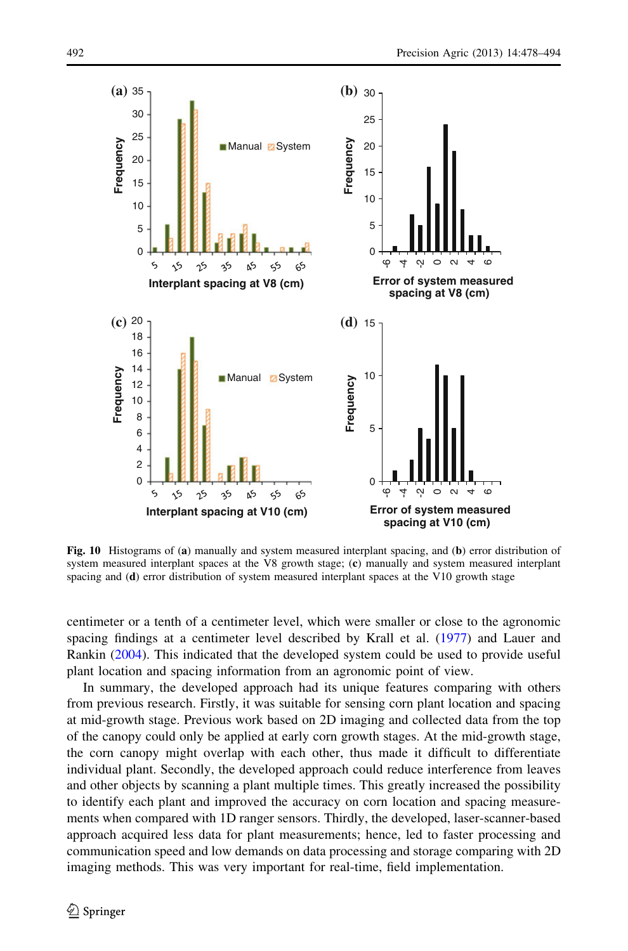<span id="page-14-0"></span>

Fig. 10 Histograms of (a) manually and system measured interplant spacing, and (b) error distribution of system measured interplant spaces at the V8 growth stage; (c) manually and system measured interplant spacing and (d) error distribution of system measured interplant spaces at the V10 growth stage

centimeter or a tenth of a centimeter level, which were smaller or close to the agronomic spacing findings at a centimeter level described by Krall et al. [\(1977\)](#page-15-0) and Lauer and Rankin [\(2004](#page-16-0)). This indicated that the developed system could be used to provide useful plant location and spacing information from an agronomic point of view.

In summary, the developed approach had its unique features comparing with others from previous research. Firstly, it was suitable for sensing corn plant location and spacing at mid-growth stage. Previous work based on 2D imaging and collected data from the top of the canopy could only be applied at early corn growth stages. At the mid-growth stage, the corn canopy might overlap with each other, thus made it difficult to differentiate individual plant. Secondly, the developed approach could reduce interference from leaves and other objects by scanning a plant multiple times. This greatly increased the possibility to identify each plant and improved the accuracy on corn location and spacing measurements when compared with 1D ranger sensors. Thirdly, the developed, laser-scanner-based approach acquired less data for plant measurements; hence, led to faster processing and communication speed and low demands on data processing and storage comparing with 2D imaging methods. This was very important for real-time, field implementation.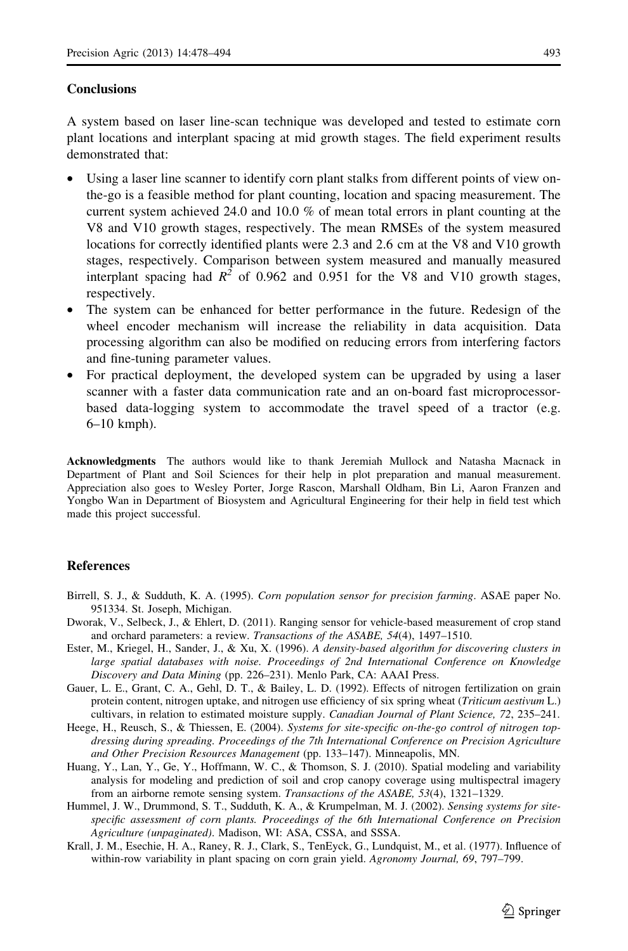# <span id="page-15-0"></span>**Conclusions**

A system based on laser line-scan technique was developed and tested to estimate corn plant locations and interplant spacing at mid growth stages. The field experiment results demonstrated that:

- Using a laser line scanner to identify corn plant stalks from different points of view onthe-go is a feasible method for plant counting, location and spacing measurement. The current system achieved 24.0 and 10.0 % of mean total errors in plant counting at the V8 and V10 growth stages, respectively. The mean RMSEs of the system measured locations for correctly identified plants were 2.3 and 2.6 cm at the V8 and V10 growth stages, respectively. Comparison between system measured and manually measured interplant spacing had  $R^2$  of 0.962 and 0.951 for the V8 and V10 growth stages, respectively.
- The system can be enhanced for better performance in the future. Redesign of the wheel encoder mechanism will increase the reliability in data acquisition. Data processing algorithm can also be modified on reducing errors from interfering factors and fine-tuning parameter values.
- For practical deployment, the developed system can be upgraded by using a laser scanner with a faster data communication rate and an on-board fast microprocessorbased data-logging system to accommodate the travel speed of a tractor (e.g. 6–10 kmph).

Acknowledgments The authors would like to thank Jeremiah Mullock and Natasha Macnack in Department of Plant and Soil Sciences for their help in plot preparation and manual measurement. Appreciation also goes to Wesley Porter, Jorge Rascon, Marshall Oldham, Bin Li, Aaron Franzen and Yongbo Wan in Department of Biosystem and Agricultural Engineering for their help in field test which made this project successful.

# **References**

- Birrell, S. J., & Sudduth, K. A. (1995). Corn population sensor for precision farming. ASAE paper No. 951334. St. Joseph, Michigan.
- Dworak, V., Selbeck, J., & Ehlert, D. (2011). Ranging sensor for vehicle-based measurement of crop stand and orchard parameters: a review. Transactions of the ASABE, 54(4), 1497–1510.
- Ester, M., Kriegel, H., Sander, J., & Xu, X. (1996). A density-based algorithm for discovering clusters in large spatial databases with noise. Proceedings of 2nd International Conference on Knowledge Discovery and Data Mining (pp. 226–231). Menlo Park, CA: AAAI Press.
- Gauer, L. E., Grant, C. A., Gehl, D. T., & Bailey, L. D. (1992). Effects of nitrogen fertilization on grain protein content, nitrogen uptake, and nitrogen use efficiency of six spring wheat (Triticum aestivum L.) cultivars, in relation to estimated moisture supply. Canadian Journal of Plant Science, 72, 235–241.
- Heege, H., Reusch, S., & Thiessen, E. (2004). Systems for site-specific on-the-go control of nitrogen topdressing during spreading. Proceedings of the 7th International Conference on Precision Agriculture and Other Precision Resources Management (pp. 133–147). Minneapolis, MN.
- Huang, Y., Lan, Y., Ge, Y., Hoffmann, W. C., & Thomson, S. J. (2010). Spatial modeling and variability analysis for modeling and prediction of soil and crop canopy coverage using multispectral imagery from an airborne remote sensing system. Transactions of the ASABE, 53(4), 1321–1329.
- Hummel, J. W., Drummond, S. T., Sudduth, K. A., & Krumpelman, M. J. (2002). Sensing systems for sitespecific assessment of corn plants. Proceedings of the 6th International Conference on Precision Agriculture (unpaginated). Madison, WI: ASA, CSSA, and SSSA.
- Krall, J. M., Esechie, H. A., Raney, R. J., Clark, S., TenEyck, G., Lundquist, M., et al. (1977). Influence of within-row variability in plant spacing on corn grain yield. Agronomy Journal, 69, 797–799.